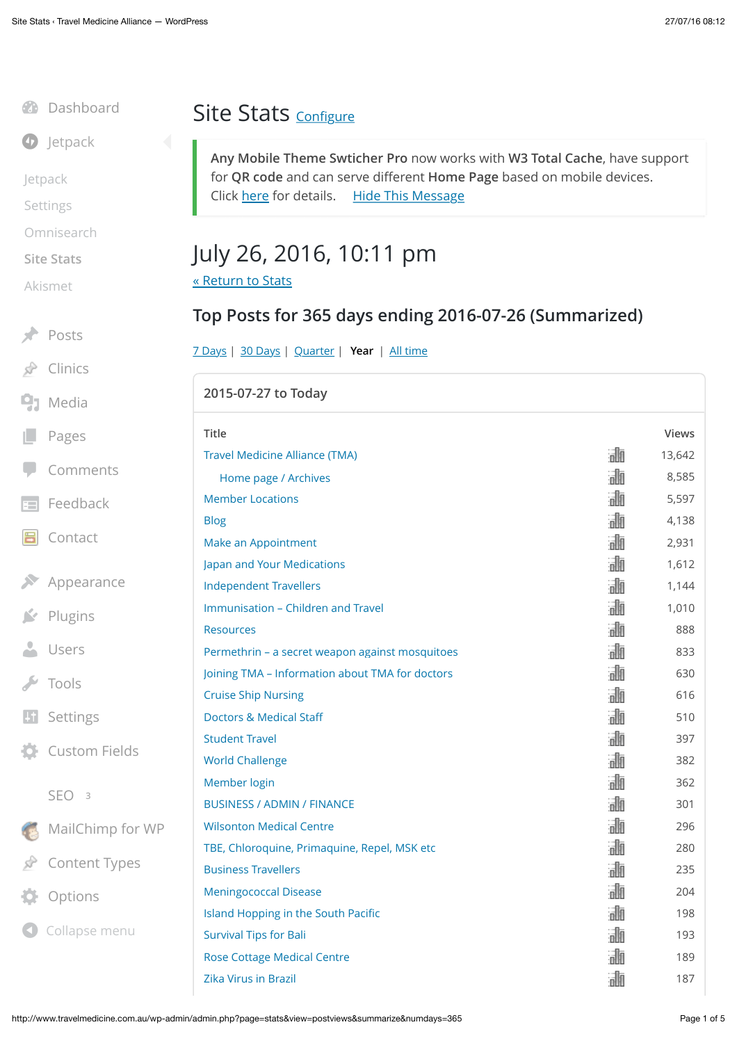# **D** [Jetpack](http://www.travelmedicine.com.au/wp-admin/admin.php?page=jetpack) [Jetpack](http://www.travelmedicine.com.au/wp-admin/admin.php?page=jetpack) [Settings](http://www.travelmedicine.com.au/wp-admin/admin.php?page=jetpack_modules) [Omnisearch](http://www.travelmedicine.com.au/wp-admin/admin.php?page=omnisearch) **[Site Stats](http://www.travelmedicine.com.au/wp-admin/admin.php?page=stats)**

[Dashboard](http://www.travelmedicine.com.au/wp-admin/index.php)

[Akismet](http://www.travelmedicine.com.au/wp-admin/admin.php?page=akismet-key-config)

 $Posts$ 

[Clinics](http://www.travelmedicine.com.au/wp-admin/edit.php?post_type=clinics)

 $9<sub>1</sub>$  [Media](http://www.travelmedicine.com.au/wp-admin/upload.php)

[Pages](http://www.travelmedicine.com.au/wp-admin/edit.php?post_type=page)

[Comments](http://www.travelmedicine.com.au/wp-admin/edit-comments.php)

 $F = Feedback$  $F = Feedback$ 

- [Contact](http://www.travelmedicine.com.au/wp-admin/admin.php?page=wpcf7) 昌
- $\blacktriangleright$  [Appearance](http://www.travelmedicine.com.au/wp-admin/themes.php)

 $\blacktriangleright$  [Plugins](http://www.travelmedicine.com.au/wp-admin/plugins.php)

**L** [Users](http://www.travelmedicine.com.au/wp-admin/users.php)

 $\blacktriangleright$  [Tools](http://www.travelmedicine.com.au/wp-admin/tools.php)

**41** [Settings](http://www.travelmedicine.com.au/wp-admin/options-general.php)

 $\bullet$  Custom Fie

#### [SEO](http://www.travelmedicine.com.au/wp-admin/admin.php?page=wpseo_dashboard) **<sup>3</sup>**

MailChimp

Content Ty

[Options](http://www.travelmedicine.com.au/wp-admin/admin.php?page=acf-options)

**O** Collapse menu

### Site Stats [Con](http://www.travelmedicine.com.au/wp-admin/admin.php?page=jetpack&configure=stats)figure

**Any Mobile Theme Swticher Pro** now works with **W3 Total Cache**, have support for **QR code** and can serve different **Home Page** based on mobile devices. Click [here](http://dnesscarkey.com/any-mobile-theme-switcher-pro/) for details. [Hide This Message](http://www.travelmedicine.com.au/wp-admin/options-general.php?pageany-mobile-theme-switcher-pro/plugin_interface.php&hidemsg=1)

## July 26, 2016, 10:11 pm

[« Return to Stats](http://www.travelmedicine.com.au/wp-admin/admin.php?page=stats)

### **Top Posts for 365 days ending 2016-07-26 (Summarized)**

[7 Days](http://www.travelmedicine.com.au/wp-admin/admin.php?page=stats&view=postviews&summarize&numdays=7) | [30 Days](http://www.travelmedicine.com.au/wp-admin/admin.php?page=stats&view=postviews&summarize&numdays=30) | [Quarter](http://www.travelmedicine.com.au/wp-admin/admin.php?page=stats&view=postviews&summarize&numdays=90) | **[Year](http://www.travelmedicine.com.au/wp-admin/admin.php?page=stats&view=postviews&summarize&numdays=365)** | [All time](http://www.travelmedicine.com.au/wp-admin/admin.php?page=stats&view=postviews&summarize&numdays=-1)

|        | 2015-07-27 to Today                             |   |              |
|--------|-------------------------------------------------|---|--------------|
|        | <b>Title</b>                                    |   | <b>Views</b> |
|        | <b>Travel Medicine Alliance (TMA)</b>           | 訕 | 13,642       |
|        | Home page / Archives                            | 霝 | 8,585        |
|        | <b>Member Locations</b>                         | 訕 | 5,597        |
|        | <b>Blog</b>                                     | 訕 | 4,138        |
|        | Make an Appointment                             | 訕 | 2,931        |
|        | Japan and Your Medications                      | 訕 | 1,612        |
| :е     | <b>Independent Travellers</b>                   | 霝 | 1,144        |
|        | Immunisation - Children and Travel              | 訕 | 1,010        |
|        | <b>Resources</b>                                | 訕 | 888          |
|        | Permethrin - a secret weapon against mosquitoes | 霝 | 833          |
|        | Joining TMA - Information about TMA for doctors | 訕 | 630          |
|        | <b>Cruise Ship Nursing</b>                      | 訕 | 616          |
|        | <b>Doctors &amp; Medical Staff</b>              | 訕 | 510          |
|        | <b>Student Travel</b>                           | 訕 | 397          |
| elds   | <b>World Challenge</b>                          | 霝 | 382          |
|        | Member login                                    | 訕 | 362          |
|        | <b>BUSINESS / ADMIN / FINANCE</b>               | 霝 | 301          |
| for WP | <b>Wilsonton Medical Centre</b>                 | 訕 | 296          |
|        | TBE, Chloroquine, Primaquine, Repel, MSK etc    | 訕 | 280          |
| pes    | <b>Business Travellers</b>                      | 霝 | 235          |
|        | <b>Meningococcal Disease</b>                    | 諭 | 204          |
|        | Island Hopping in the South Pacific             | 霝 | 198          |
| enu    | <b>Survival Tips for Bali</b>                   | 諭 | 193          |
|        | <b>Rose Cottage Medical Centre</b>              | 訕 | 189          |
|        | Zika Virus in Brazil                            | 灜 | 187          |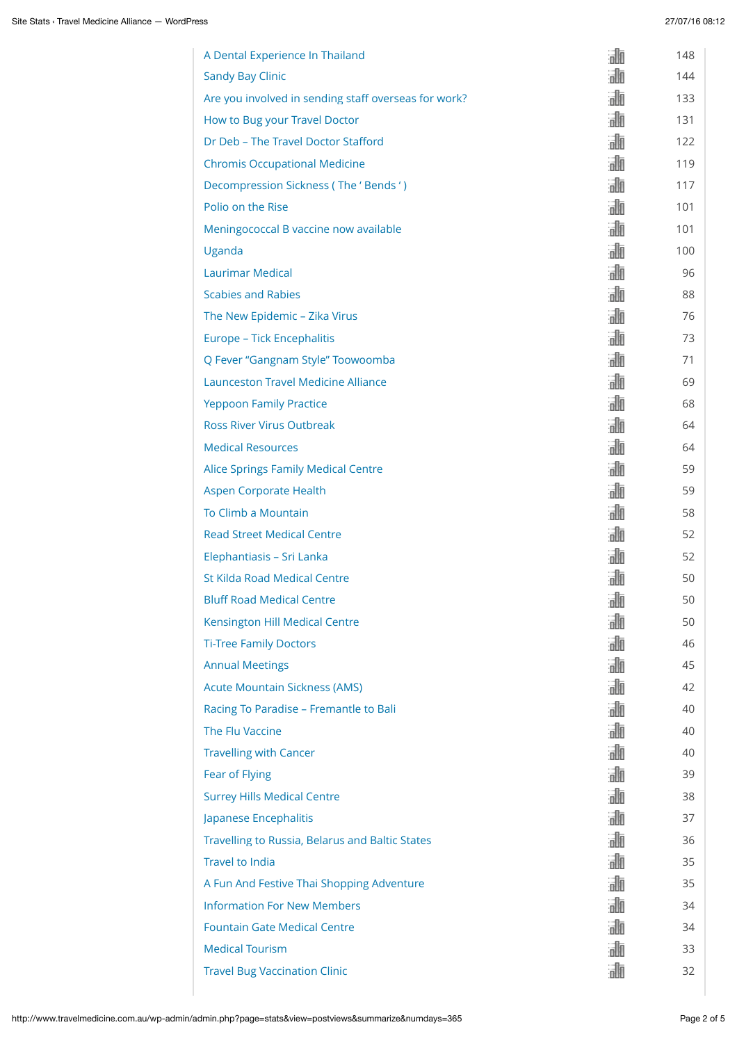| A Dental Experience In Thailand                      | 諭   | 148 |
|------------------------------------------------------|-----|-----|
| <b>Sandy Bay Clinic</b>                              | 浦   | 144 |
| Are you involved in sending staff overseas for work? | 諭   | 133 |
| How to Bug your Travel Doctor                        | 諭   | 131 |
| Dr Deb - The Travel Doctor Stafford                  | 諭   | 122 |
| <b>Chromis Occupational Medicine</b>                 | 諭   | 119 |
| Decompression Sickness (The 'Bends')                 | 諭   | 117 |
| Polio on the Rise                                    | 諭   | 101 |
| Meningococcal B vaccine now available                | 訕   | 101 |
| Uganda                                               | 諭   | 100 |
| <b>Laurimar Medical</b>                              | 訕   | 96  |
| <b>Scabies and Rabies</b>                            | 諭   | 88  |
| The New Epidemic - Zika Virus                        | 諭   | 76  |
| Europe - Tick Encephalitis                           | 訕   | 73  |
| Q Fever "Gangnam Style" Toowoomba                    | 諭   | 71  |
| <b>Launceston Travel Medicine Alliance</b>           | 訕   | 69  |
| <b>Yeppoon Family Practice</b>                       | 諭   | 68  |
| <b>Ross River Virus Outbreak</b>                     | 訕   | 64  |
| <b>Medical Resources</b>                             | 諭   | 64  |
| <b>Alice Springs Family Medical Centre</b>           | 諭   | 59  |
| <b>Aspen Corporate Health</b>                        | 諭   | 59  |
| To Climb a Mountain                                  | 諭   | 58  |
| <b>Read Street Medical Centre</b>                    | 浦   | 52  |
| Elephantiasis - Sri Lanka                            | 浦   | 52  |
| <b>St Kilda Road Medical Centre</b>                  | all | 50  |
| <b>Bluff Road Medical Centre</b>                     | 訕   | 50  |
| <b>Kensington Hill Medical Centre</b>                | 訕   | 50  |
| <b>Ti-Tree Family Doctors</b>                        | 諭   | 46  |
| <b>Annual Meetings</b>                               | 訕   | 45  |
| <b>Acute Mountain Sickness (AMS)</b>                 | 訕   | 42  |
| Racing To Paradise - Fremantle to Bali               | 諭   | 40  |
| The Flu Vaccine                                      | 訕   | 40  |
| <b>Travelling with Cancer</b>                        | 浦   | 40  |
| Fear of Flying                                       | 訕   | 39  |
| <b>Surrey Hills Medical Centre</b>                   | 諭   | 38  |
| Japanese Encephalitis                                | 諭   | 37  |
| Travelling to Russia, Belarus and Baltic States      | 諭   | 36  |
| <b>Travel to India</b>                               | 諭   | 35  |
| A Fun And Festive Thai Shopping Adventure            | 訕   | 35  |
| <b>Information For New Members</b>                   | 訕   | 34  |
| <b>Fountain Gate Medical Centre</b>                  | 訕   | 34  |
| <b>Medical Tourism</b>                               | 訕   | 33  |
| <b>Travel Bug Vaccination Clinic</b>                 | 訕   | 32  |
|                                                      |     |     |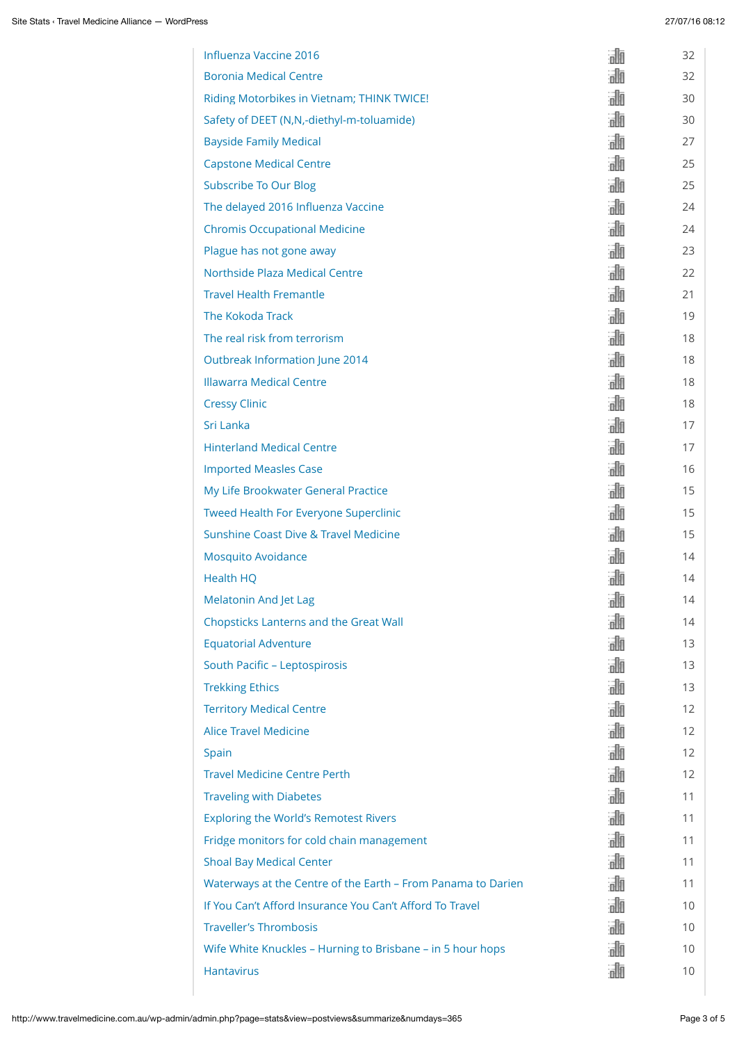| Influenza Vaccine 2016                                       | 灜   | 32                |
|--------------------------------------------------------------|-----|-------------------|
| <b>Boronia Medical Centre</b>                                | 詞面  | 32                |
| Riding Motorbikes in Vietnam; THINK TWICE!                   | 灜   | 30                |
| Safety of DEET (N,N,-diethyl-m-toluamide)                    | 浦   | 30                |
| <b>Bayside Family Medical</b>                                | 訕   | 27                |
| <b>Capstone Medical Centre</b>                               | 諭   | 25                |
| <b>Subscribe To Our Blog</b>                                 | 諭   | 25                |
| The delayed 2016 Influenza Vaccine                           | 諭   | 24                |
| <b>Chromis Occupational Medicine</b>                         | 諭   | 24                |
| Plague has not gone away                                     | 浦   | 23                |
| Northside Plaza Medical Centre                               | 訕   | 22                |
| <b>Travel Health Fremantle</b>                               | 諭   | 21                |
| The Kokoda Track                                             | 訕   | 19                |
| The real risk from terrorism                                 | 浦   | 18                |
| Outbreak Information June 2014                               | 諭   | 18                |
| <b>Illawarra Medical Centre</b>                              | 訕   | 18                |
| <b>Cressy Clinic</b>                                         | 諭   | 18                |
| Sri Lanka                                                    | 灜   | 17                |
| <b>Hinterland Medical Centre</b>                             | 諭   | 17                |
| <b>Imported Measles Case</b>                                 | 灜   | 16                |
| My Life Brookwater General Practice                          | 諭   | 15                |
| Tweed Health For Everyone Superclinic                        | 諭   | 15                |
| Sunshine Coast Dive & Travel Medicine                        | 謝   | 15                |
| <b>Mosquito Avoidance</b>                                    | 温师  | 14                |
| <b>Health HQ</b>                                             | all | 14                |
| <b>Melatonin And Jet Lag</b>                                 | 訕   | 14                |
| <b>Chopsticks Lanterns and the Great Wall</b>                | 訕   | 14                |
| <b>Equatorial Adventure</b>                                  | 灜   | 13                |
| South Pacific - Leptospirosis                                | 訕   | 13                |
| <b>Trekking Ethics</b>                                       | 浦   | 13                |
| <b>Territory Medical Centre</b>                              | 浦   | $12 \overline{ }$ |
| <b>Alice Travel Medicine</b>                                 | 訕   | $12 \overline{ }$ |
| Spain                                                        | 諭   | $12 \overline{ }$ |
| <b>Travel Medicine Centre Perth</b>                          | 諭   | 12                |
| <b>Traveling with Diabetes</b>                               | 諭   | 11                |
| <b>Exploring the World's Remotest Rivers</b>                 | 訕   | 11                |
| Fridge monitors for cold chain management                    | 諭   | 11                |
| <b>Shoal Bay Medical Center</b>                              | 諭   | 11                |
| Waterways at the Centre of the Earth - From Panama to Darien | 浦   | 11                |
| If You Can't Afford Insurance You Can't Afford To Travel     | 訕   | 10                |
| <b>Traveller's Thrombosis</b>                                | 浦   | 10                |
| Wife White Knuckles - Hurning to Brisbane - in 5 hour hops   | 諭   | 10                |
| <b>Hantavirus</b>                                            | 訕   | 10                |
|                                                              |     |                   |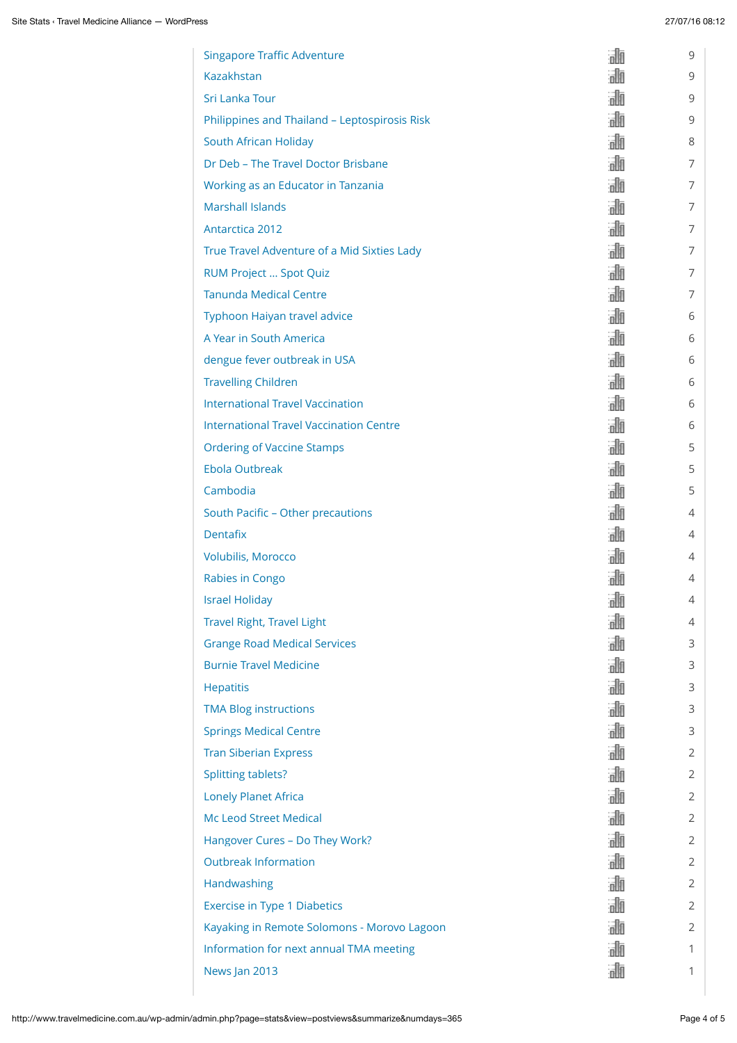| <b>Singapore Traffic Adventure</b>             | 誧   | 9              |
|------------------------------------------------|-----|----------------|
| Kazakhstan                                     | 浦   | 9              |
| Sri Lanka Tour                                 | 訕   | 9              |
| Philippines and Thailand - Leptospirosis Risk  | 訕   | 9              |
| South African Holiday                          | 訕   | 8              |
| Dr Deb - The Travel Doctor Brisbane            | 訕   | 7              |
| Working as an Educator in Tanzania             | 訕   | 7              |
| <b>Marshall Islands</b>                        | 浦   | 7              |
| Antarctica 2012                                | 訕   | 7              |
| True Travel Adventure of a Mid Sixties Lady    | 訕   | 7              |
| RUM Project  Spot Quiz                         | 訕   | 7              |
| <b>Tanunda Medical Centre</b>                  | 訕   | 7              |
| Typhoon Haiyan travel advice                   | 訕   | 6              |
| A Year in South America                        | 訕   | 6              |
| dengue fever outbreak in USA                   | 訕   | 6              |
| <b>Travelling Children</b>                     | 訕   | 6              |
| <b>International Travel Vaccination</b>        | 諭   | 6              |
| <b>International Travel Vaccination Centre</b> | 訕   | 6              |
| <b>Ordering of Vaccine Stamps</b>              | 訕   | 5              |
| <b>Ebola Outbreak</b>                          | 訕   | 5              |
| Cambodia                                       | 諭   | 5              |
| South Pacific - Other precautions              | 訕   | 4              |
| <b>Dentafix</b>                                | 浦   | 4              |
| Volubilis, Morocco                             | 浦   | 4              |
| Rabies in Congo                                | all | 4              |
| <b>Israel Holiday</b>                          | all | 4              |
| <b>Travel Right, Travel Light</b>              | 訕   | 4              |
| <b>Grange Road Medical Services</b>            | 浦   | 3              |
| <b>Burnie Travel Medicine</b>                  | 訕   | 3              |
| <b>Hepatitis</b>                               | 訕   | 3              |
| <b>TMA Blog instructions</b>                   | 浦   | 3              |
| <b>Springs Medical Centre</b>                  | 訕   | 3              |
| <b>Tran Siberian Express</b>                   | 訕   | 2              |
| <b>Splitting tablets?</b>                      | 訕   | 2              |
| <b>Lonely Planet Africa</b>                    | 訕   | 2              |
| <b>Mc Leod Street Medical</b>                  | 訕   | $\overline{2}$ |
| Hangover Cures - Do They Work?                 | 浦   | 2              |
| <b>Outbreak Information</b>                    | 訕   | 2              |
| Handwashing                                    | 浦   | 2              |
| <b>Exercise in Type 1 Diabetics</b>            | 訕   | 2              |
| Kayaking in Remote Solomons - Morovo Lagoon    | 浦   | 2              |
| Information for next annual TMA meeting        | 訕   | 1              |
| News Jan 2013                                  | 訕   | 1              |
|                                                |     |                |